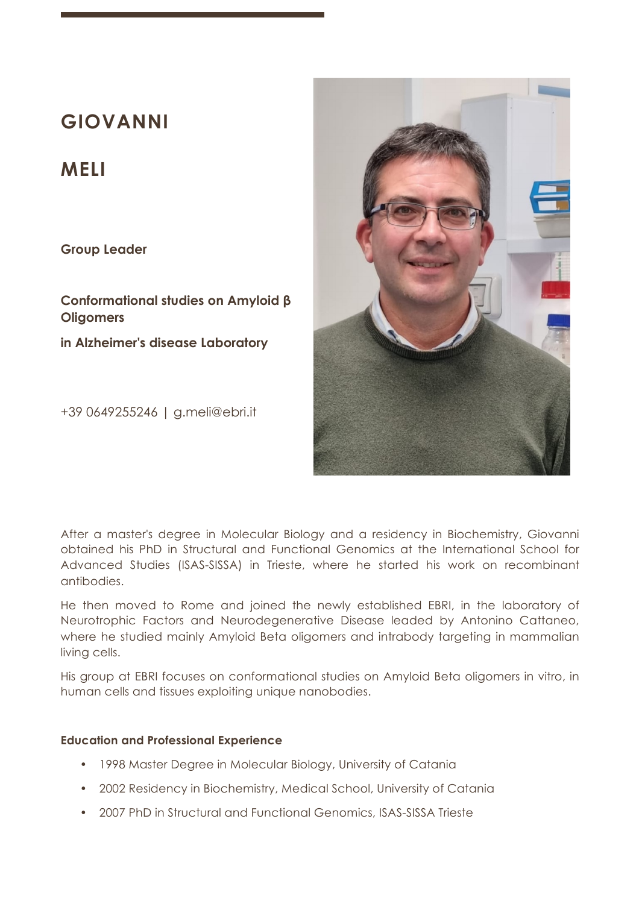# **GIOVANNI**

# **MELI**

**Group Leader**

**Conformational studies on Amyloid β Oligomers**

**in Alzheimer's disease Laboratory** 

+39 0649255246 | g.meli@ebri.it



After a master's degree in Molecular Biology and a residency in Biochemistry, Giovanni obtained his PhD in Structural and Functional Genomics at the International School for Advanced Studies (ISAS-SISSA) in Trieste, where he started his work on recombinant antibodies.

He then moved to Rome and joined the newly established EBRI, in the laboratory of Neurotrophic Factors and Neurodegenerative Disease leaded by Antonino Cattaneo, where he studied mainly Amyloid Beta oligomers and intrabody targeting in mammalian living cells.

His group at EBRI focuses on conformational studies on Amyloid Beta oligomers in vitro, in human cells and tissues exploiting unique nanobodies.

#### **Education and Professional Experience**

- 1998 Master Degree in Molecular Biology, University of Catania
- 2002 Residency in Biochemistry, Medical School, University of Catania
- 2007 PhD in Structural and Functional Genomics, ISAS-SISSA Trieste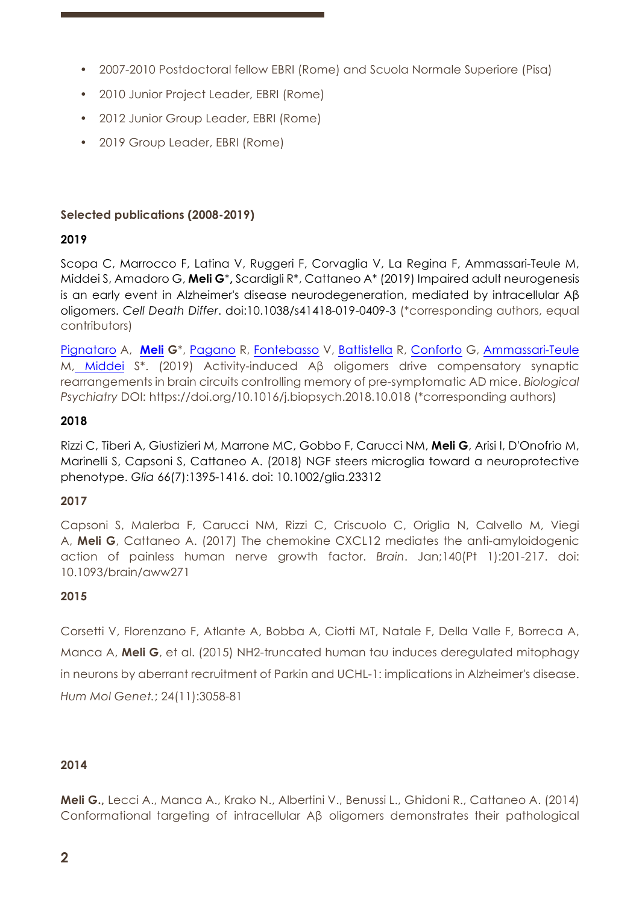- 2007-2010 Postdoctoral fellow EBRI (Rome) and Scuola Normale Superiore (Pisa)
- 2010 Junior Project Leader, EBRI (Rome)
- 2012 Junior Group Leader, EBRI (Rome)
- 2019 Group Leader, EBRI (Rome)

# **Selected publications (2008-2019)**

# **2019**

Scopa C, Marrocco F, Latina V, Ruggeri F, Corvaglia V, La Regina F, Ammassari-Teule M, Middei S, Amadoro G, **Meli G**\***,** Scardigli R\*, Cattaneo A\* (2019) Impaired adult neurogenesis is an early event in Alzheimer's disease neurodegeneration, mediated by intracellular Aβ oligomers. *Cell Death Differ*. doi:10.1038/s41418-019-0409-3 (\*corresponding authors, equal contributors)

Pignataro A, **Meli G**\*, Pagano R, Fontebasso V, Battistella R, Conforto G, Ammassari-Teule M, Middei S\*. (2019) Activity-induced Aβ oligomers drive compensatory synaptic rearrangements in brain circuits controlling memory of pre-symptomatic AD mice. *Biological Psychiatry* DOI: https://doi.org/10.1016/j.biopsych.2018.10.018 (\*corresponding authors)

# **2018**

Rizzi C, Tiberi A, Giustizieri M, Marrone MC, Gobbo F, Carucci NM, **Meli G**, Arisi I, D'Onofrio M, Marinelli S, Capsoni S, Cattaneo A. (2018) NGF steers microglia toward a neuroprotective phenotype. *Glia* 66(7):1395-1416. doi: 10.1002/glia.23312

# **2017**

Capsoni S, Malerba F, Carucci NM, Rizzi C, Criscuolo C, Origlia N, Calvello M, Viegi A, **Meli G**, Cattaneo A. (2017) The chemokine CXCL12 mediates the anti-amyloidogenic action of painless human nerve growth factor. *Brain*. Jan;140(Pt 1):201-217. doi: 10.1093/brain/aww271

# **2015**

Corsetti V, Florenzano F, Atlante A, Bobba A, Ciotti MT, Natale F, Della Valle F, Borreca A, Manca A, **Meli G**, et al. (2015) NH2-truncated human tau induces deregulated mitophagy in neurons by aberrant recruitment of Parkin and UCHL-1: implications in Alzheimer's disease. *Hum Mol Genet.*; 24(11):3058-81

# **2014**

**Meli G.,** Lecci A., Manca A., Krako N., Albertini V., Benussi L., Ghidoni R., Cattaneo A. (2014) Conformational targeting of intracellular Aβ oligomers demonstrates their pathological